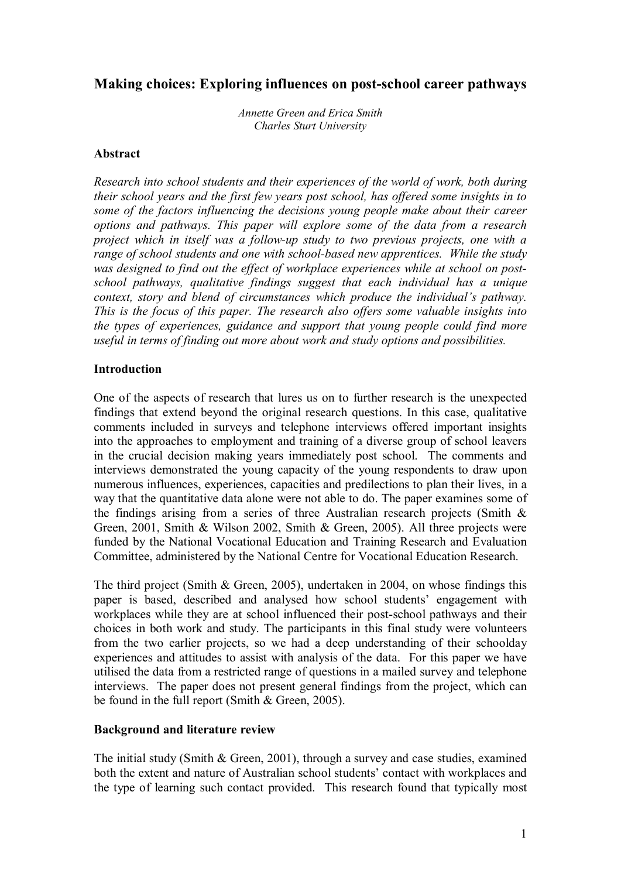# **Making choices: Exploring influences on post-school career pathways**

*Annette Green and Erica Smith Charles Sturt University*

## **Abstract**

*Research into school students and their experiences of the world of work, both during their school years and the first few years post school, has offered some insights in to some of the factors influencing the decisions young people make about their career options and pathways. This paper will explore some of the data from a research project which in itself was a followup study to two previous projects, one with a range of school students and one with schoolbased new apprentices. While the study was designed to find out the effect of workplace experiences while at school on postschool pathways, qualitative findings suggest that each individual has a unique context, story and blend of circumstances which produce the individual's pathway. This is the focus of this paper. The research also offers some valuable insights into the types of experiences, guidance and support that young people could find more useful in terms of finding out more about work and study options and possibilities.*

## **Introduction**

One of the aspects of research that lures us on to further research is the unexpected findings that extend beyond the original research questions. In this case, qualitative comments included in surveys and telephone interviews offered important insights into the approaches to employment and training of a diverse group of school leavers in the crucial decision making years immediately post school. The comments and interviews demonstrated the young capacity of the young respondents to draw upon numerous influences, experiences, capacities and predilections to plan their lives, in a way that the quantitative data alone were not able to do. The paper examines some of the findings arising from a series of three Australian research projects (Smith  $\&$ Green, 2001, Smith & Wilson 2002, Smith & Green, 2005). All three projects were funded by the National Vocational Education and Training Research and Evaluation Committee, administered by the National Centre for Vocational Education Research.

The third project (Smith & Green, 2005), undertaken in 2004, on whose findings this paper is based, described and analysed how school students' engagement with workplaces while they are at school influenced their post-school pathways and their choices in both work and study. The participants in this final study were volunteers from the two earlier projects, so we had a deep understanding of their schoolday experiences and attitudes to assist with analysis of the data. For this paper we have utilised the data from a restricted range of questions in a mailed survey and telephone interviews. The paper does not present general findings from the project, which can be found in the full report (Smith & Green, 2005).

## **Background and literature review**

The initial study (Smith & Green, 2001), through a survey and case studies, examined both the extent and nature of Australian school students' contact with workplaces and the type of learning such contact provided. This research found that typically most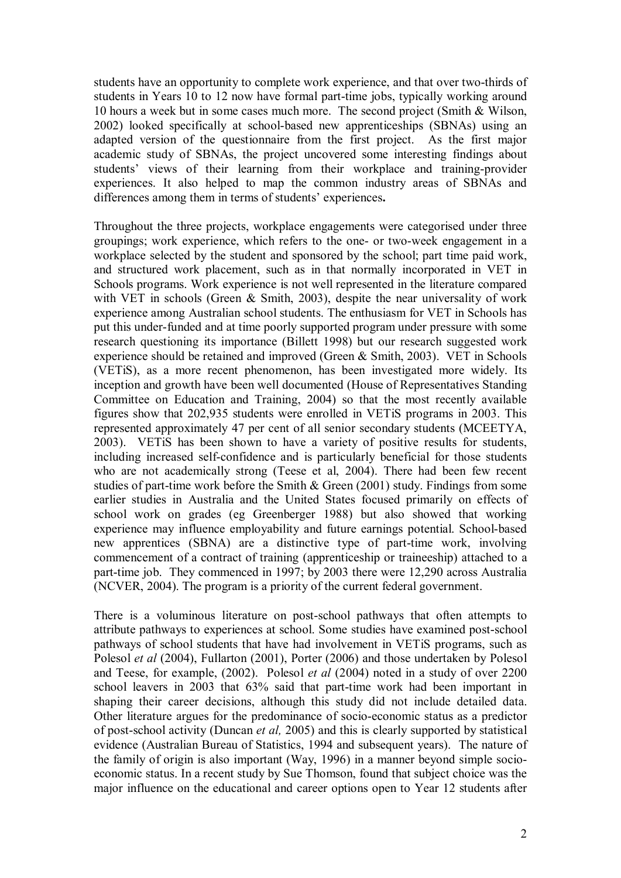students have an opportunity to complete work experience, and that over two-thirds of students in Years 10 to 12 now have formal part-time jobs, typically working around 10 hours a week but in some cases much more. The second project (Smith & Wilson, 2002) looked specifically at school-based new apprenticeships (SBNAs) using an adapted version of the questionnaire from the first project. As the first major academic study of SBNAs, the project uncovered some interesting findings about students' views of their learning from their workplace and training-provider experiences. It also helped to map the common industry areas of SBNAs and differences among them in terms of students' experiences**.**

Throughout the three projects, workplace engagements were categorised under three groupings; work experience, which refers to the one- or two-week engagement in a workplace selected by the student and sponsored by the school; part time paid work, and structured work placement, such as in that normally incorporated in VET in Schools programs. Work experience is not well represented in the literature compared with VET in schools (Green & Smith, 2003), despite the near universality of work experience among Australian school students. The enthusiasm for VET in Schools has put this under-funded and at time poorly supported program under pressure with some research questioning its importance (Billett 1998) but our research suggested work experience should be retained and improved (Green & Smith, 2003). VET in Schools (VETiS), as a more recent phenomenon, has been investigated more widely. Its inception and growth have been well documented (House of Representatives Standing Committee on Education and Training, 2004) so that the most recently available figures show that 202,935 students were enrolled in VETiS programs in 2003. This represented approximately 47 per cent of all senior secondary students (MCEETYA, 2003). VETiS has been shown to have a variety of positive results for students, including increased self-confidence and is particularly beneficial for those students who are not academically strong (Teese et al, 2004). There had been few recent studies of part-time work before the Smith  $&$  Green (2001) study. Findings from some earlier studies in Australia and the United States focused primarily on effects of school work on grades (eg Greenberger 1988) but also showed that working experience may influence employability and future earnings potential. School-based new apprentices (SBNA) are a distinctive type of part-time work, involving commencement of a contract of training (apprenticeship or traineeship) attached to a part-time job. They commenced in 1997; by 2003 there were 12,290 across Australia (NCVER, 2004). The program is a priority of the current federal government.

There is a voluminous literature on post-school pathways that often attempts to attribute pathways to experiences at school. Some studies have examined post-school pathways of school students that have had involvement in VETiS programs, such as Polesol *et al* (2004), Fullarton (2001), Porter (2006) and those undertaken by Polesol and Teese, for example, (2002). Polesol *et al* (2004) noted in a study of over 2200 school leavers in 2003 that 63% said that part-time work had been important in shaping their career decisions, although this study did not include detailed data. Other literature argues for the predominance of socio-economic status as a predictor of post-school activity (Duncan *et al,* 2005) and this is clearly supported by statistical evidence (Australian Bureau of Statistics, 1994 and subsequent years). The nature of the family of origin is also important (Way, 1996) in a manner beyond simple socio economic status. In a recent study by Sue Thomson, found that subject choice was the major influence on the educational and career options open to Year 12 students after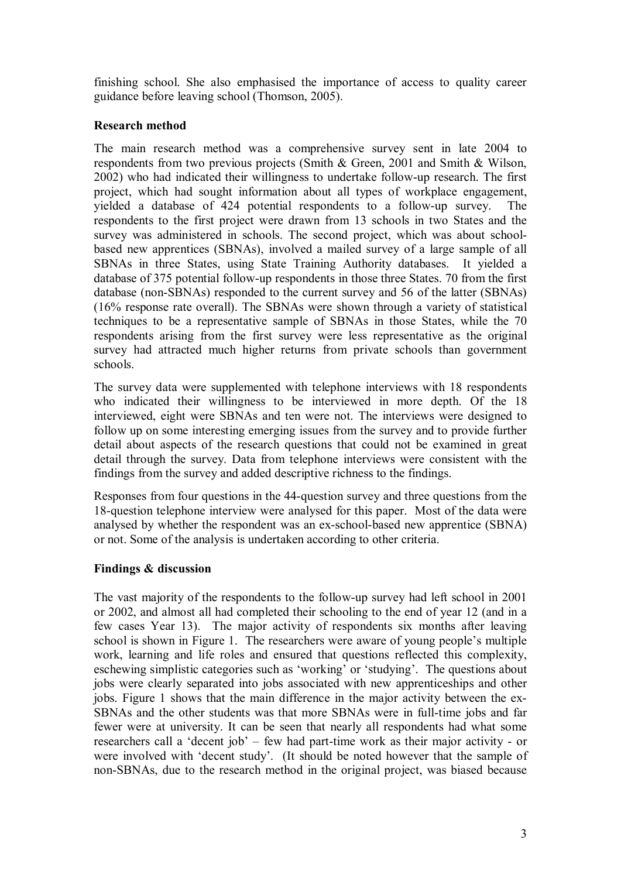finishing school. She also emphasised the importance of access to quality career guidance before leaving school (Thomson, 2005).

## **Research method**

The main research method was a comprehensive survey sent in late 2004 to respondents from two previous projects (Smith & Green, 2001 and Smith & Wilson, 2002) who had indicated their willingness to undertake followup research. The first project, which had sought information about all types of workplace engagement, yielded a database of 424 potential respondents to a follow-up survey. The respondents to the first project were drawn from 13 schools in two States and the survey was administered in schools. The second project, which was about schoolbased new apprentices (SBNAs), involved a mailed survey of a large sample of all SBNAs in three States, using State Training Authority databases. It yielded a database of 375 potential follow-up respondents in those three States. 70 from the first database (non-SBNAs) responded to the current survey and 56 of the latter (SBNAs) (16% response rate overall). The SBNAs were shown through a variety of statistical techniques to be a representative sample of SBNAs in those States, while the 70 respondents arising from the first survey were less representative as the original survey had attracted much higher returns from private schools than government schools.

The survey data were supplemented with telephone interviews with 18 respondents who indicated their willingness to be interviewed in more depth. Of the 18 interviewed, eight were SBNAs and ten were not. The interviews were designed to follow up on some interesting emerging issues from the survey and to provide further detail about aspects of the research questions that could not be examined in great detail through the survey. Data from telephone interviews were consistent with the findings from the survey and added descriptive richness to the findings.

Responses from four questions in the 44-question survey and three questions from the 18-question telephone interview were analysed for this paper. Most of the data were analysed by whether the respondent was an ex-school-based new apprentice (SBNA) or not. Some of the analysis is undertaken according to other criteria.

## **Findings & discussion**

The vast majority of the respondents to the follow-up survey had left school in 2001 or 2002, and almost all had completed their schooling to the end of year 12 (and in a few cases Year 13). The major activity of respondents six months after leaving school is shown in Figure 1. The researchers were aware of young people's multiple work, learning and life roles and ensured that questions reflected this complexity, eschewing simplistic categories such as 'working' or 'studying'. The questions about jobs were clearly separated into jobs associated with new apprenticeships and other jobs. Figure 1 shows that the main difference in the major activity between the ex SBNAs and the other students was that more SBNAs were in full-time jobs and far fewer were at university. It can be seen that nearly all respondents had what some researchers call a 'decent job' – few had part-time work as their major activity - or were involved with 'decent study'. (It should be noted however that the sample of non-SBNAs, due to the research method in the original project, was biased because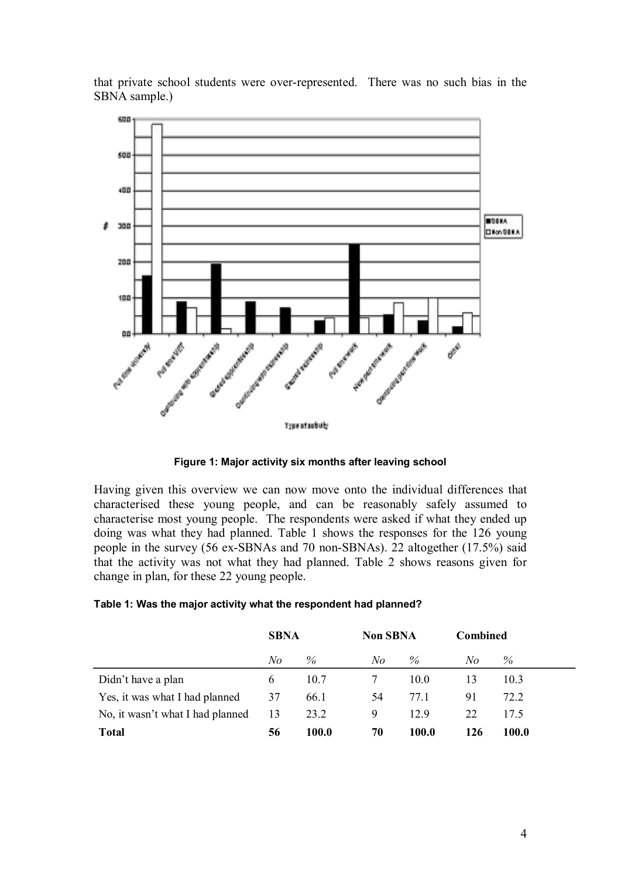



**Figure 1: Major activity six months after leaving school**

Having given this overview we can now move onto the individual differences that characterised these young people, and can be reasonably safely assumed to characterise most young people. The respondents were asked if what they ended up doing was what they had planned. Table 1 shows the responses for the 126 young people in the survey  $(56 \text{ ex-SBNAs and } 70 \text{ non-SBNAs})$ . 22 altogether  $(17.5\%)$  said that the activity was not what they had planned. Table 2 shows reasons given for change in plan, for these 22 young people.

|  | Table 1: Was the major activity what the respondent had planned? |
|--|------------------------------------------------------------------|
|--|------------------------------------------------------------------|

|                                  | <b>SBNA</b>  |       | <b>Non SBNA</b> |       | <b>Combined</b> |       |
|----------------------------------|--------------|-------|-----------------|-------|-----------------|-------|
|                                  | No           | $\%$  | No              | $\%$  | No              | $\%$  |
| Didn't have a plan               | <sub>b</sub> | 10.7  |                 | 10.0  | 13              | 10.3  |
| Yes, it was what I had planned   | 37           | 66.1  | 54              | 77.1  | 91              | 72.2  |
| No, it wasn't what I had planned | 13           | 23.2  | 9               | 129   | 22              | 17.5  |
| <b>Total</b>                     | 56           | 100.0 | 70              | 100.0 | 126             | 100.0 |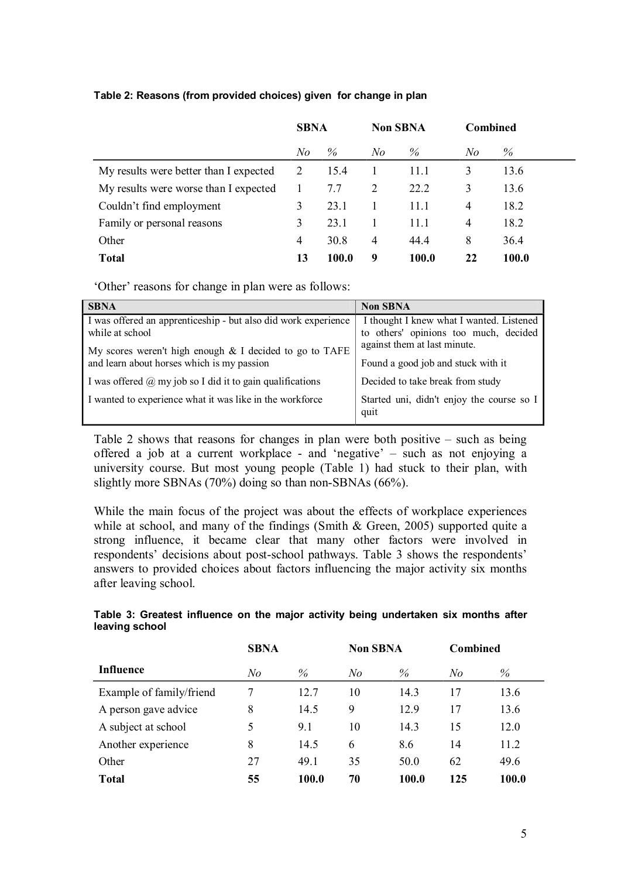|                                        | <b>SBNA</b>    |              |     | <b>Non SBNA</b> |    | <b>Combined</b> |
|----------------------------------------|----------------|--------------|-----|-----------------|----|-----------------|
|                                        | N <sub>o</sub> | $\%$         | N o | %               | No | %               |
| My results were better than I expected | 2              | 15.4         |     | 11.1            | 3  | 13.6            |
| My results were worse than I expected  |                | 7.7          | 2   | 22.2            | 3  | 13.6            |
| Couldn't find employment               | 3              | 23.1         |     | 11.1            | 4  | 18.2            |
| Family or personal reasons             | 3              | 23.1         |     | 11.1            | 4  | 18.2            |
| Other                                  | 4              | 30.8         | 4   | 44.4            | 8  | 36.4            |
| <b>Total</b>                           | 13             | <b>100.0</b> | 9   | <b>100.0</b>    | 22 | 100.0           |

#### **Table 2: Reasons (from provided choices) given for change in plan**

'Other' reasons for change in plan were as follows:

| <b>SBNA</b>                                                                                             | <b>Non SBNA</b>                                                                   |
|---------------------------------------------------------------------------------------------------------|-----------------------------------------------------------------------------------|
| I was offered an apprenticeship - but also did work experience<br>while at school                       | I thought I knew what I wanted. Listened<br>to others' opinions too much, decided |
| My scores weren't high enough $&$ I decided to go to TAFE<br>and learn about horses which is my passion | against them at last minute.<br>Found a good job and stuck with it                |
| I was offered $\omega$ my job so I did it to gain qualifications                                        | Decided to take break from study                                                  |
| I wanted to experience what it was like in the workforce                                                | Started uni, didn't enjoy the course so I<br>quit                                 |

Table 2 shows that reasons for changes in plan were both positive  $-$  such as being offered a job at a current workplace - and 'negative' – such as not enjoying a university course. But most young people (Table 1) had stuck to their plan, with slightly more SBNAs  $(70\%)$  doing so than non-SBNAs  $(66\%)$ .

While the main focus of the project was about the effects of workplace experiences while at school, and many of the findings (Smith & Green, 2005) supported quite a strong influence, it became clear that many other factors were involved in respondents' decisions about post-school pathways. Table 3 shows the respondents' answers to provided choices about factors influencing the major activity six months after leaving school.

|                          | <b>SBNA</b> |       | <b>Non SBNA</b> |       | <b>Combined</b> |       |
|--------------------------|-------------|-------|-----------------|-------|-----------------|-------|
| <b>Influence</b>         | No          | $\%$  | No              | $\%$  | No              | %     |
| Example of family/friend | 7           | 12.7  | 10              | 14.3  | 17              | 13.6  |
| A person gave advice     | 8           | 14.5  | 9               | 12.9  | 17              | 13.6  |
| A subject at school      | 5           | 9.1   | 10              | 14.3  | 15              | 12.0  |
| Another experience       | 8           | 14.5  | 6               | 8.6   | 14              | 11.2  |
| Other                    | 27          | 49.1  | 35              | 50.0  | 62              | 49.6  |
| <b>Total</b>             | 55          | 100.0 | 70              | 100.0 | 125             | 100.0 |

## **Table 3: Greatest influence on the major activity being undertaken six months after leaving school**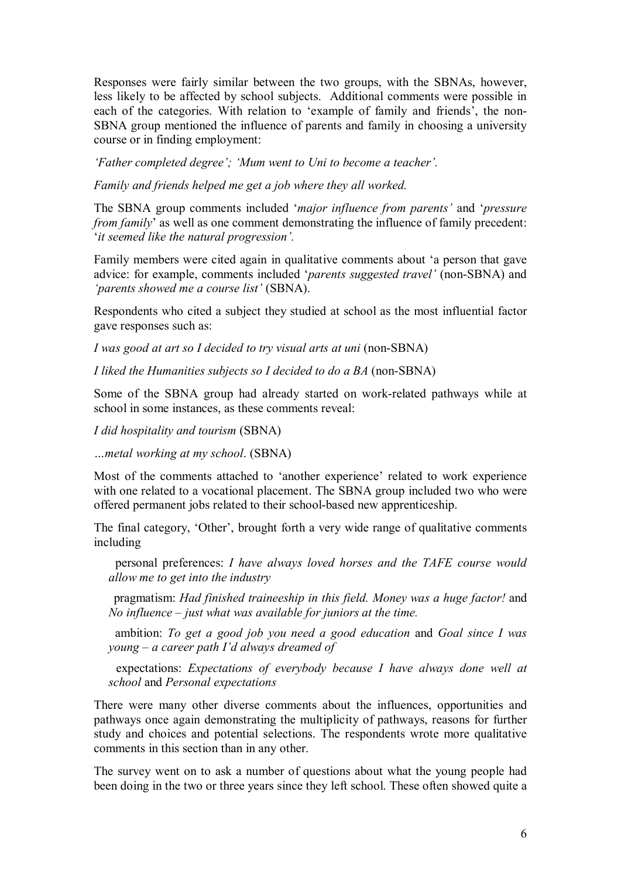Responses were fairly similar between the two groups, with the SBNAs, however, less likely to be affected by school subjects. Additional comments were possible in each of the categories. With relation to 'example of family and friends', the non SBNA group mentioned the influence of parents and family in choosing a university course or in finding employment:

*'Father completed degree'; 'Mum went to Uni to become a teacher'.*

*Family and friends helped me get a job where they all worked.*

The SBNA group comments included '*major influence from parents'* and '*pressure from family*' as well as one comment demonstrating the influence of family precedent: '*it seemed like the natural progression'.*

Family members were cited again in qualitative comments about 'a person that gave advice: for example, comments included '*parents suggested travel'* (non-SBNA) and *'parents showed me a course list'* (SBNA).

Respondents who cited a subject they studied at school as the most influential factor gave responses such as:

*I* was good at art so *I* decided to try visual arts at uni (non-SBNA)

*I* liked the *Humanities subjects so I* decided to do a *BA* (non-SBNA)

Some of the SBNA group had already started on work-related pathways while at school in some instances, as these comments reveal:

*I did hospitality and tourism* (SBNA)

*…metal working at my school*. (SBNA)

Most of the comments attached to 'another experience' related to work experience with one related to a vocational placement. The SBNA group included two who were offered permanent jobs related to their school-based new apprenticeship.

The final category, 'Other', brought forth a very wide range of qualitative comments including

 personal preferences: *I have always loved horses and the TAFE course would allow me to get into the industry*

 pragmatism: *Had finished traineeship in this field. Money was a huge factor!* and *No influence – just what was available for juniors at the time.*

 ambition: *To get a good job you need a good education* and *Goal since I was young – a career path I'd always dreamed of*

 expectations: *Expectations of everybody because I have always done well at school* and *Personal expectations*

There were many other diverse comments about the influences, opportunities and pathways once again demonstrating the multiplicity of pathways, reasons for further study and choices and potential selections. The respondents wrote more qualitative comments in this section than in any other.

The survey went on to ask a number of questions about what the young people had been doing in the two or three years since they left school. These often showed quite a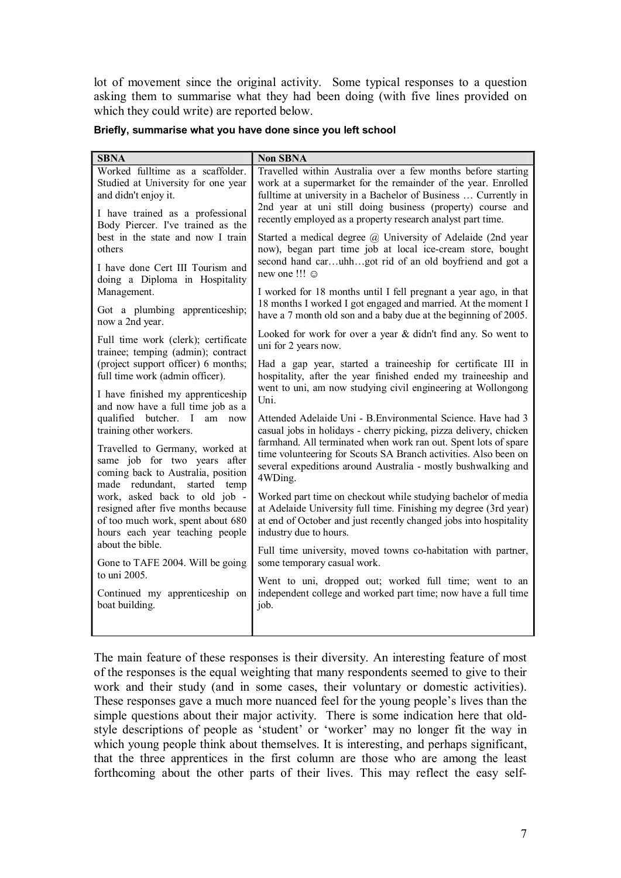lot of movement since the original activity. Some typical responses to a question asking them to summarise what they had been doing (with five lines provided on which they could write) are reported below.

#### **Briefly, summarise what you have done since you left school**

| <b>SBNA</b>                                                                                                                              | <b>Non SBNA</b>                                                                                                                                                                      |
|------------------------------------------------------------------------------------------------------------------------------------------|--------------------------------------------------------------------------------------------------------------------------------------------------------------------------------------|
| Worked fulltime as a scaffolder.                                                                                                         | Travelled within Australia over a few months before starting                                                                                                                         |
| Studied at University for one year                                                                                                       | work at a supermarket for the remainder of the year. Enrolled                                                                                                                        |
| and didn't enjoy it.                                                                                                                     | fulltime at university in a Bachelor of Business  Currently in                                                                                                                       |
| I have trained as a professional                                                                                                         | 2nd year at uni still doing business (property) course and                                                                                                                           |
| Body Piercer. I've trained as the                                                                                                        | recently employed as a property research analyst part time.                                                                                                                          |
| best in the state and now I train<br>others                                                                                              | Started a medical degree @ University of Adelaide (2nd year<br>now), began part time job at local ice-cream store, bought<br>second hand caruhhgot rid of an old boyfriend and got a |
| I have done Cert III Tourism and<br>doing a Diploma in Hospitality                                                                       | new one !!! ©                                                                                                                                                                        |
| Management.                                                                                                                              | I worked for 18 months until I fell pregnant a year ago, in that                                                                                                                     |
| Got a plumbing apprenticeship;                                                                                                           | 18 months I worked I got engaged and married. At the moment I                                                                                                                        |
| now a 2nd year.                                                                                                                          | have a 7 month old son and a baby due at the beginning of 2005.                                                                                                                      |
| Full time work (clerk); certificate                                                                                                      | Looked for work for over a year & didn't find any. So went to                                                                                                                        |
| trainee; temping (admin); contract                                                                                                       | uni for 2 years now.                                                                                                                                                                 |
| (project support officer) 6 months;                                                                                                      | Had a gap year, started a traineeship for certificate III in                                                                                                                         |
| full time work (admin officer).                                                                                                          | hospitality, after the year finished ended my traineeship and                                                                                                                        |
| I have finished my apprenticeship                                                                                                        | went to uni, am now studying civil engineering at Wollongong                                                                                                                         |
| and now have a full time job as a                                                                                                        | Uni.                                                                                                                                                                                 |
| qualified butcher. I                                                                                                                     | Attended Adelaide Uni - B. Environmental Science. Have had 3                                                                                                                         |
| am now                                                                                                                                   | casual jobs in holidays - cherry picking, pizza delivery, chicken                                                                                                                    |
| training other workers.                                                                                                                  | farmhand. All terminated when work ran out. Spent lots of spare                                                                                                                      |
| Travelled to Germany, worked at<br>same job for two years after<br>coming back to Australia, position<br>made redundant,<br>started temp | time volunteering for Scouts SA Branch activities. Also been on<br>several expeditions around Australia - mostly bushwalking and<br>4WDing.                                          |
| work, asked back to old job -                                                                                                            | Worked part time on checkout while studying bachelor of media                                                                                                                        |
| resigned after five months because                                                                                                       | at Adelaide University full time. Finishing my degree (3rd year)                                                                                                                     |
| of too much work, spent about 680                                                                                                        | at end of October and just recently changed jobs into hospitality                                                                                                                    |
| hours each year teaching people                                                                                                          | industry due to hours.                                                                                                                                                               |
| about the bible.                                                                                                                         | Full time university, moved towns co-habitation with partner,                                                                                                                        |
| Gone to TAFE 2004. Will be going                                                                                                         | some temporary casual work.                                                                                                                                                          |
| to uni 2005.                                                                                                                             | Went to uni, dropped out; worked full time; went to an                                                                                                                               |
| Continued my apprenticeship on                                                                                                           | independent college and worked part time; now have a full time                                                                                                                       |
| boat building.                                                                                                                           | job.                                                                                                                                                                                 |
|                                                                                                                                          |                                                                                                                                                                                      |

The main feature of these responses is their diversity. An interesting feature of most of the responses is the equal weighting that many respondents seemed to give to their work and their study (and in some cases, their voluntary or domestic activities). These responses gave a much more nuanced feel for the young people's lives than the simple questions about their major activity. There is some indication here that oldstyle descriptions of people as 'student' or 'worker' may no longer fit the way in which young people think about themselves. It is interesting, and perhaps significant, that the three apprentices in the first column are those who are among the least forthcoming about the other parts of their lives. This may reflect the easy self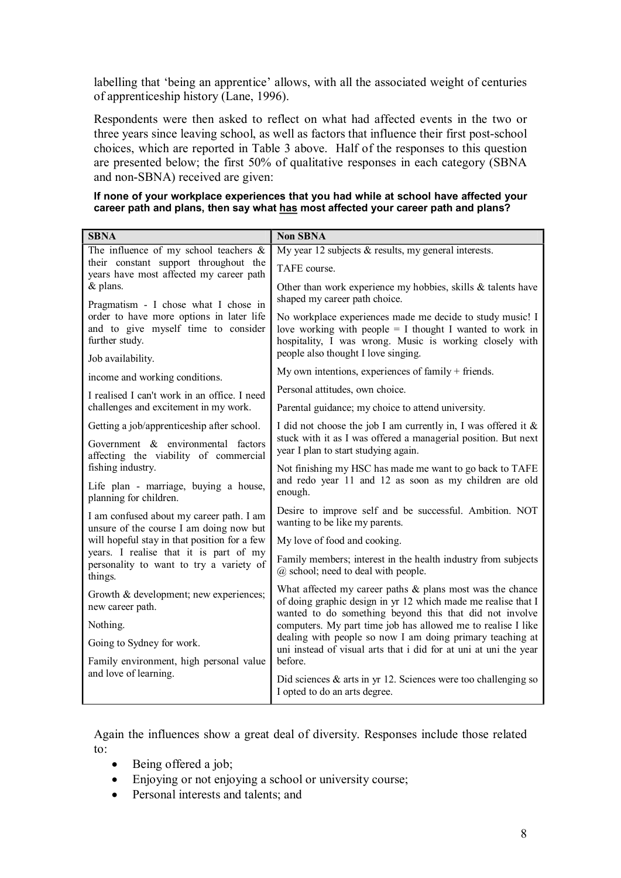labelling that 'being an apprentice' allows, with all the associated weight of centuries of apprenticeship history (Lane, 1996).

Respondents were then asked to reflect on what had affected events in the two or three years since leaving school, as well as factors that influence their first post-school choices, which are reported in Table 3 above. Half of the responses to this question are presented below; the first 50% of qualitative responses in each category (SBNA and non-SBNA) received are given:

**If none of your workplace experiences that you had while at school have affected your career path and plans, then say what has most affected your career path and plans?**

| <b>SBNA</b>                                                                                                                               | <b>Non SBNA</b>                                                                                                                                                                                                           |
|-------------------------------------------------------------------------------------------------------------------------------------------|---------------------------------------------------------------------------------------------------------------------------------------------------------------------------------------------------------------------------|
| The influence of my school teachers $\&$                                                                                                  | My year 12 subjects $&$ results, my general interests.                                                                                                                                                                    |
| their constant support throughout the<br>years have most affected my career path                                                          | TAFE course.                                                                                                                                                                                                              |
| & plans.                                                                                                                                  | Other than work experience my hobbies, skills & talents have<br>shaped my career path choice.                                                                                                                             |
| Pragmatism - I chose what I chose in<br>order to have more options in later life<br>and to give myself time to consider<br>further study. | No workplace experiences made me decide to study music! I<br>love working with people $=$ I thought I wanted to work in<br>hospitality, I was wrong. Music is working closely with<br>people also thought I love singing. |
| Job availability.                                                                                                                         | My own intentions, experiences of family + friends.                                                                                                                                                                       |
| income and working conditions.                                                                                                            | Personal attitudes, own choice.                                                                                                                                                                                           |
| I realised I can't work in an office. I need<br>challenges and excitement in my work.                                                     | Parental guidance; my choice to attend university.                                                                                                                                                                        |
| Getting a job/apprenticeship after school.                                                                                                | I did not choose the job I am currently in, I was offered it &                                                                                                                                                            |
| Government & environmental factors<br>affecting the viability of commercial                                                               | stuck with it as I was offered a managerial position. But next<br>year I plan to start studying again.                                                                                                                    |
| fishing industry.                                                                                                                         | Not finishing my HSC has made me want to go back to TAFE                                                                                                                                                                  |
| Life plan - marriage, buying a house,<br>planning for children.                                                                           | and redo year 11 and 12 as soon as my children are old<br>enough.                                                                                                                                                         |
| I am confused about my career path. I am<br>unsure of the course I am doing now but                                                       | Desire to improve self and be successful. Ambition. NOT<br>wanting to be like my parents.                                                                                                                                 |
| will hopeful stay in that position for a few                                                                                              | My love of food and cooking.                                                                                                                                                                                              |
| years. I realise that it is part of my<br>personality to want to try a variety of<br>things.                                              | Family members; interest in the health industry from subjects<br>$(a)$ school; need to deal with people.                                                                                                                  |
| Growth & development; new experiences;<br>new career path.                                                                                | What affected my career paths $\&$ plans most was the chance<br>of doing graphic design in yr 12 which made me realise that I                                                                                             |
| Nothing.                                                                                                                                  | wanted to do something beyond this that did not involve<br>computers. My part time job has allowed me to realise I like                                                                                                   |
| Going to Sydney for work.                                                                                                                 | dealing with people so now I am doing primary teaching at                                                                                                                                                                 |
| Family environment, high personal value                                                                                                   | uni instead of visual arts that i did for at uni at uni the year<br>before.                                                                                                                                               |
| and love of learning.                                                                                                                     | Did sciences $\&$ arts in yr 12. Sciences were too challenging so<br>I opted to do an arts degree.                                                                                                                        |

Again the influences show a great deal of diversity. Responses include those related to:

- Being offered a job;
- Enjoying or not enjoying a school or university course;
- Personal interests and talents; and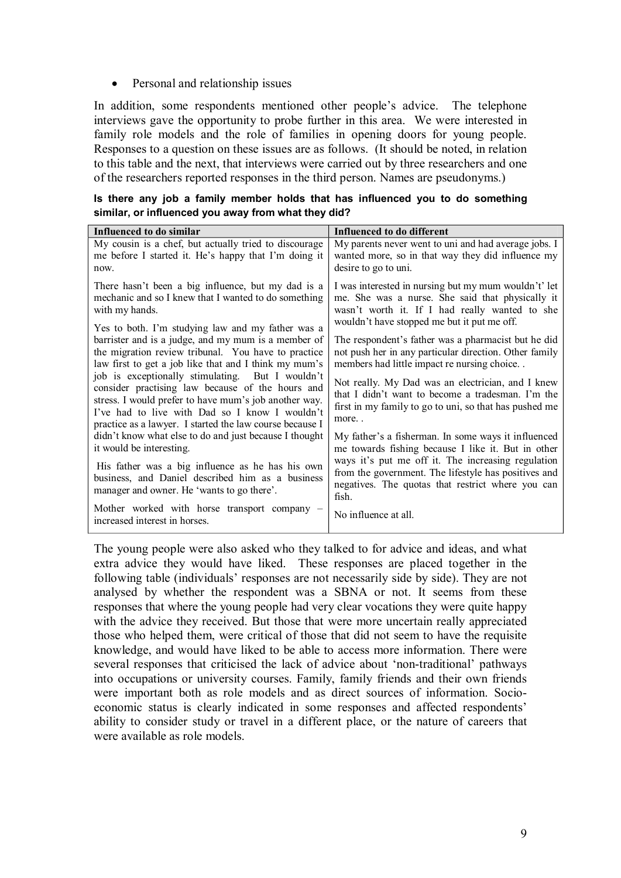## • Personal and relationship issues

In addition, some respondents mentioned other people's advice. The telephone interviews gave the opportunity to probe further in this area. We were interested in family role models and the role of families in opening doors for young people. Responses to a question on these issues are as follows. (It should be noted, in relation to this table and the next, that interviews were carried out by three researchers and one of the researchers reported responses in the third person. Names are pseudonyms.)

**Is there any job a family member holds that has influenced you to do something similar, or influenced you away from what they did?**

| Influenced to do similar                                                                                                                                                                                                                                                                                                                                                                                                                                                                                   | Influenced to do different                                                                                                                                                                                                                                                                                                                                                              |
|------------------------------------------------------------------------------------------------------------------------------------------------------------------------------------------------------------------------------------------------------------------------------------------------------------------------------------------------------------------------------------------------------------------------------------------------------------------------------------------------------------|-----------------------------------------------------------------------------------------------------------------------------------------------------------------------------------------------------------------------------------------------------------------------------------------------------------------------------------------------------------------------------------------|
| My cousin is a chef, but actually tried to discourage<br>me before I started it. He's happy that I'm doing it<br>now.                                                                                                                                                                                                                                                                                                                                                                                      | My parents never went to uni and had average jobs. I<br>wanted more, so in that way they did influence my<br>desire to go to uni.                                                                                                                                                                                                                                                       |
| There hasn't been a big influence, but my dad is a<br>mechanic and so I knew that I wanted to do something<br>with my hands.                                                                                                                                                                                                                                                                                                                                                                               | I was interested in nursing but my mum wouldn't' let<br>me. She was a nurse. She said that physically it<br>wasn't worth it. If I had really wanted to she                                                                                                                                                                                                                              |
| Yes to both. I'm studying law and my father was a<br>barrister and is a judge, and my mum is a member of<br>the migration review tribunal. You have to practice<br>law first to get a job like that and I think my mum's<br>job is exceptionally stimulating.<br>But I wouldn't<br>consider practising law because of the hours and<br>stress. I would prefer to have mum's job another way.<br>I've had to live with Dad so I know I wouldn't<br>practice as a lawyer. I started the law course because I | wouldn't have stopped me but it put me off.<br>The respondent's father was a pharmacist but he did<br>not push her in any particular direction. Other family<br>members had little impact re nursing choice<br>Not really. My Dad was an electrician, and I knew<br>that I didn't want to become a tradesman. I'm the<br>first in my family to go to uni, so that has pushed me<br>more |
| didn't know what else to do and just because I thought<br>it would be interesting.                                                                                                                                                                                                                                                                                                                                                                                                                         | My father's a fisherman. In some ways it influenced<br>me towards fishing because I like it. But in other                                                                                                                                                                                                                                                                               |
| His father was a big influence as he has his own<br>business, and Daniel described him as a business<br>manager and owner. He 'wants to go there'.                                                                                                                                                                                                                                                                                                                                                         | ways it's put me off it. The increasing regulation<br>from the government. The lifestyle has positives and<br>negatives. The quotas that restrict where you can<br>fish.                                                                                                                                                                                                                |
| Mother worked with horse transport company -<br>increased interest in horses.                                                                                                                                                                                                                                                                                                                                                                                                                              | No influence at all.                                                                                                                                                                                                                                                                                                                                                                    |

The young people were also asked who they talked to for advice and ideas, and what extra advice they would have liked. These responses are placed together in the following table (individuals' responses are not necessarily side by side). They are not analysed by whether the respondent was a SBNA or not. It seems from these responses that where the young people had very clear vocations they were quite happy with the advice they received. But those that were more uncertain really appreciated those who helped them, were critical of those that did not seem to have the requisite knowledge, and would have liked to be able to access more information. There were several responses that criticised the lack of advice about 'non-traditional' pathways into occupations or university courses. Family, family friends and their own friends were important both as role models and as direct sources of information. Socioeconomic status is clearly indicated in some responses and affected respondents' ability to consider study or travel in a different place, or the nature of careers that were available as role models.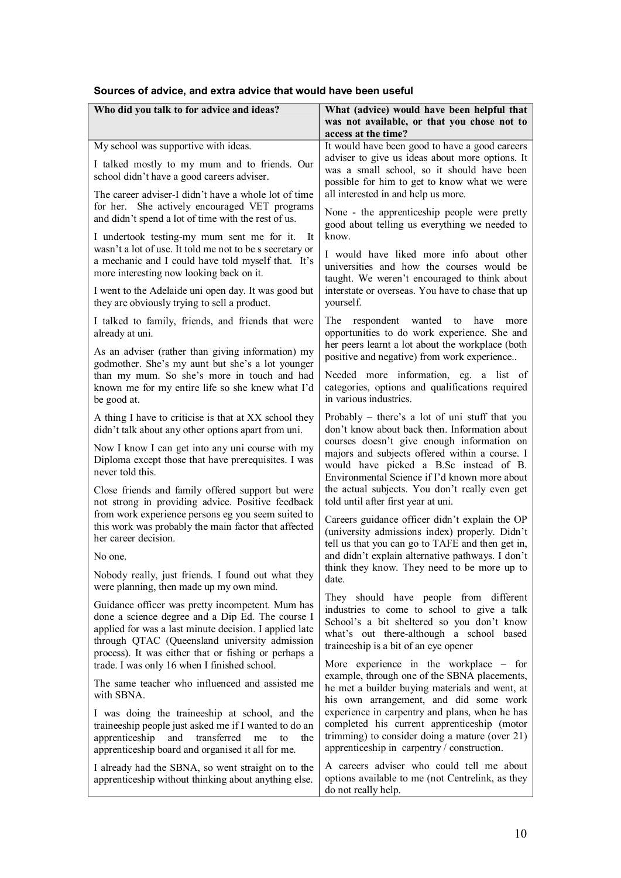| Who did you talk to for advice and ideas?                                                                                                                                                                                                                                                                                                                                                                                                                                                                                                                                                                                                                                                              | What (advice) would have been helpful that<br>was not available, or that you chose not to<br>access at the time?                                                                                                                                                                                                                                                                                                                                                                                                                                                                                                                                        |
|--------------------------------------------------------------------------------------------------------------------------------------------------------------------------------------------------------------------------------------------------------------------------------------------------------------------------------------------------------------------------------------------------------------------------------------------------------------------------------------------------------------------------------------------------------------------------------------------------------------------------------------------------------------------------------------------------------|---------------------------------------------------------------------------------------------------------------------------------------------------------------------------------------------------------------------------------------------------------------------------------------------------------------------------------------------------------------------------------------------------------------------------------------------------------------------------------------------------------------------------------------------------------------------------------------------------------------------------------------------------------|
| My school was supportive with ideas.<br>I talked mostly to my mum and to friends. Our<br>school didn't have a good careers adviser.<br>The career adviser-I didn't have a whole lot of time<br>for her. She actively encouraged VET programs<br>and didn't spend a lot of time with the rest of us.<br>I undertook testing-my mum sent me for it.<br>It<br>wasn't a lot of use. It told me not to be s secretary or<br>a mechanic and I could have told myself that. It's<br>more interesting now looking back on it.<br>I went to the Adelaide uni open day. It was good but<br>they are obviously trying to sell a product.<br>I talked to family, friends, and friends that were<br>already at uni. | It would have been good to have a good careers<br>adviser to give us ideas about more options. It<br>was a small school, so it should have been<br>possible for him to get to know what we were<br>all interested in and help us more.<br>None - the apprenticeship people were pretty<br>good about telling us everything we needed to<br>know.<br>I would have liked more info about other<br>universities and how the courses would be<br>taught. We weren't encouraged to think about<br>interstate or overseas. You have to chase that up<br>yourself.<br>The respondent<br>wanted to have<br>more<br>opportunities to do work experience. She and |
| As an adviser (rather than giving information) my<br>godmother. She's my aunt but she's a lot younger<br>than my mum. So she's more in touch and had<br>known me for my entire life so she knew what I'd<br>be good at.                                                                                                                                                                                                                                                                                                                                                                                                                                                                                | her peers learnt a lot about the workplace (both<br>positive and negative) from work experience<br>Needed more information, eg. a list of<br>categories, options and qualifications required<br>in various industries.                                                                                                                                                                                                                                                                                                                                                                                                                                  |
| A thing I have to criticise is that at XX school they<br>didn't talk about any other options apart from uni.<br>Now I know I can get into any uni course with my<br>Diploma except those that have prerequisites. I was<br>never told this.                                                                                                                                                                                                                                                                                                                                                                                                                                                            | Probably – there's a lot of uni stuff that you<br>don't know about back then. Information about<br>courses doesn't give enough information on<br>majors and subjects offered within a course. I<br>would have picked a B.Sc instead of B.<br>Environmental Science if I'd known more about<br>the actual subjects. You don't really even get                                                                                                                                                                                                                                                                                                            |
| Close friends and family offered support but were<br>not strong in providing advice. Positive feedback<br>from work experience persons eg you seem suited to<br>this work was probably the main factor that affected<br>her career decision.<br>No one.<br>Nobody really, just friends. I found out what they<br>were planning, then made up my own mind.                                                                                                                                                                                                                                                                                                                                              | told until after first year at uni.<br>Careers guidance officer didn't explain the OP<br>(university admissions index) properly. Didn't<br>tell us that you can go to TAFE and then get in,<br>and didn't explain alternative pathways. I don't<br>think they know. They need to be more up to<br>date.                                                                                                                                                                                                                                                                                                                                                 |
| Guidance officer was pretty incompetent. Mum has<br>done a science degree and a Dip Ed. The course I<br>applied for was a last minute decision. I applied late<br>through QTAC (Queensland university admission<br>process). It was either that or fishing or perhaps a                                                                                                                                                                                                                                                                                                                                                                                                                                | They should have people from different<br>industries to come to school to give a talk<br>School's a bit sheltered so you don't know<br>what's out there-although a school based<br>traineeship is a bit of an eye opener                                                                                                                                                                                                                                                                                                                                                                                                                                |
| trade. I was only 16 when I finished school.<br>The same teacher who influenced and assisted me<br>with SBNA.<br>I was doing the traineeship at school, and the<br>traineeship people just asked me if I wanted to do an<br>and<br>apprenticeship<br>transferred<br>me<br>to<br>the<br>apprenticeship board and organised it all for me.                                                                                                                                                                                                                                                                                                                                                               | More experience in the workplace $-$ for<br>example, through one of the SBNA placements,<br>he met a builder buying materials and went, at<br>his own arrangement, and did some work<br>experience in carpentry and plans, when he has<br>completed his current apprenticeship (motor<br>trimming) to consider doing a mature (over 21)<br>apprenticeship in carpentry / construction.                                                                                                                                                                                                                                                                  |
| I already had the SBNA, so went straight on to the<br>apprenticeship without thinking about anything else.                                                                                                                                                                                                                                                                                                                                                                                                                                                                                                                                                                                             | A careers adviser who could tell me about<br>options available to me (not Centrelink, as they<br>do not really help.                                                                                                                                                                                                                                                                                                                                                                                                                                                                                                                                    |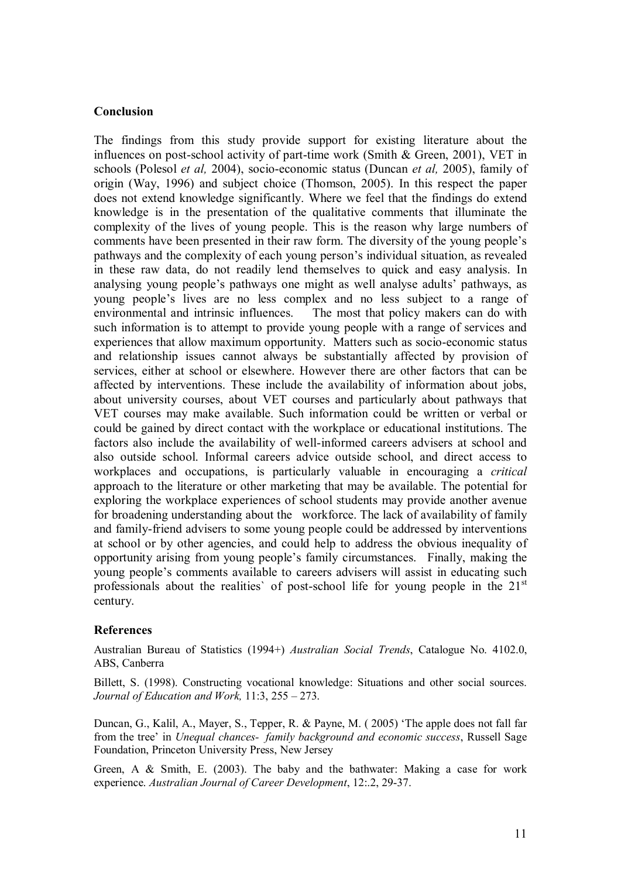#### **Conclusion**

The findings from this study provide support for existing literature about the influences on post-school activity of part-time work (Smith  $&$  Green, 2001), VET in schools (Polesol *et al.* 2004), socio-economic status (Duncan *et al.* 2005), family of origin (Way, 1996) and subject choice (Thomson, 2005). In this respect the paper does not extend knowledge significantly. Where we feel that the findings do extend knowledge is in the presentation of the qualitative comments that illuminate the complexity of the lives of young people. This is the reason why large numbers of comments have been presented in their raw form. The diversity of the young people's pathways and the complexity of each young person's individual situation, as revealed in these raw data, do not readily lend themselves to quick and easy analysis. In analysing young people's pathways one might as well analyse adults' pathways, as young people's lives are no less complex and no less subject to a range of environmental and intrinsic influences. The most that policy makers can do with such information is to attempt to provide young people with a range of services and experiences that allow maximum opportunity. Matters such as socio-economic status and relationship issues cannot always be substantially affected by provision of services, either at school or elsewhere. However there are other factors that can be affected by interventions. These include the availability of information about jobs, about university courses, about VET courses and particularly about pathways that VET courses may make available. Such information could be written or verbal or could be gained by direct contact with the workplace or educational institutions. The factors also include the availability of well-informed careers advisers at school and also outside school. Informal careers advice outside school, and direct access to workplaces and occupations, is particularly valuable in encouraging a *critical* approach to the literature or other marketing that may be available. The potential for exploring the workplace experiences of school students may provide another avenue for broadening understanding about the workforce. The lack of availability of family and family-friend advisers to some young people could be addressed by interventions at school or by other agencies, and could help to address the obvious inequality of opportunity arising from young people's family circumstances. Finally, making the young people's comments available to careers advisers will assist in educating such professionals about the realities' of post-school life for young people in the  $21<sup>st</sup>$ century.

#### **References**

Australian Bureau of Statistics (1994+) *Australian Social Trends*, Catalogue No. 4102.0, ABS, Canberra

Billett, S. (1998). Constructing vocational knowledge: Situations and other social sources. *Journal of Education and Work,* 11:3, 255 – 273.

Duncan, G., Kalil, A., Mayer, S., Tepper, R. & Payne, M. ( 2005) 'The apple does not fall far from the tree' in *Unequal chances family background and economic success*, Russell Sage Foundation, Princeton University Press, New Jersey

Green, A & Smith, E. (2003). The baby and the bathwater: Making a case for work experience. *Australian Journal of Career Development*, 12:2, 29-37.